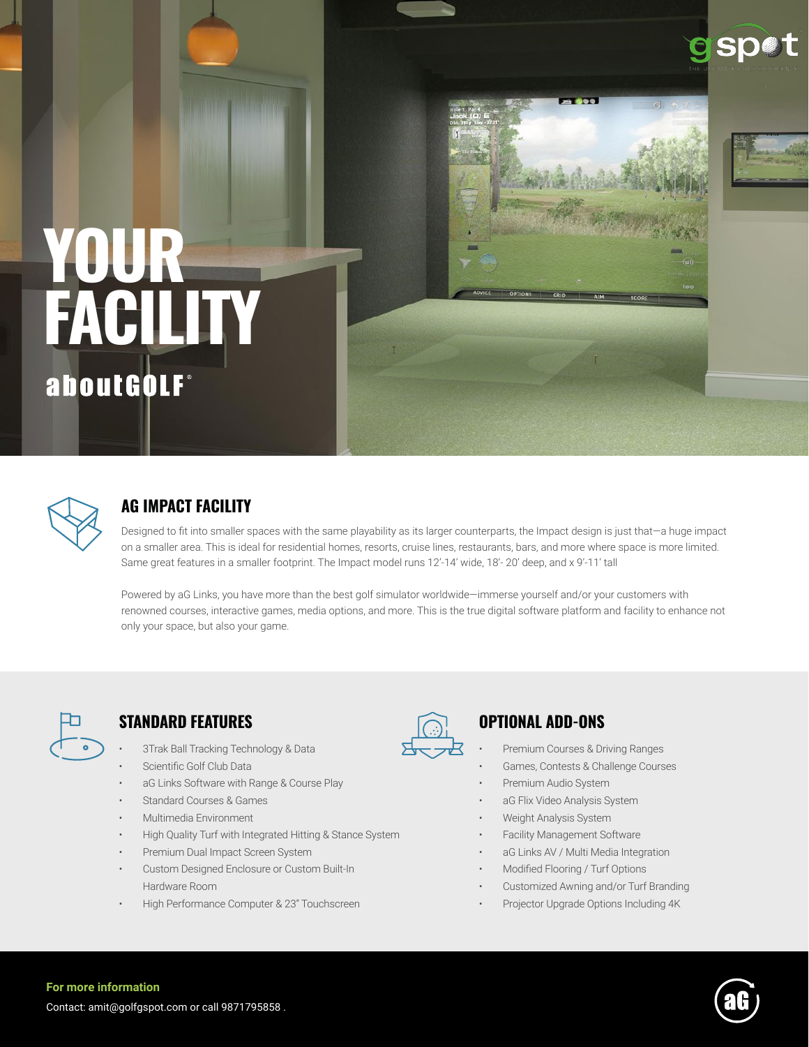

# **YOUR FACILITY** about GOLF®



# **AG IMPACT FACILITY**

Designed to fit into smaller spaces with the same playability as its larger counterparts, the Impact design is just that—a huge impact on a smaller area. This is ideal for residential homes, resorts, cruise lines, restaurants, bars, and more where space is more limited. Same great features in a smaller footprint. The Impact model runs 12'-14' wide, 18'- 20' deep, and x 9'-11' tall

Powered by aG Links, you have more than the best golf simulator worldwide—immerse yourself and/or your customers with renowned courses, interactive games, media options, and more. This is the true digital software platform and facility to enhance not only your space, but also your game.



# **STANDARD FEATURES OPTIONAL ADD-ONS**

- 3Trak Ball Tracking Technology & Data
- Scientific Golf Club Data
- aG Links Software with Range & Course Play
- Standard Courses & Games
- Multimedia Environment
- High Quality Turf with Integrated Hitting & Stance System
- Premium Dual Impact Screen System
- Custom Designed Enclosure or Custom Built-In Hardware Room
- High Performance Computer & 23" Touchscreen



- Premium Courses & Driving Ranges
- Games, Contests & Challenge Courses
- Premium Audio System
- aG Flix Video Analysis System
- Weight Analysis System
- Facility Management Software
- aG Links AV / Multi Media Integration
- Modified Flooring / Turf Options
- Customized Awning and/or Turf Branding
- Projector Upgrade Options Including 4K